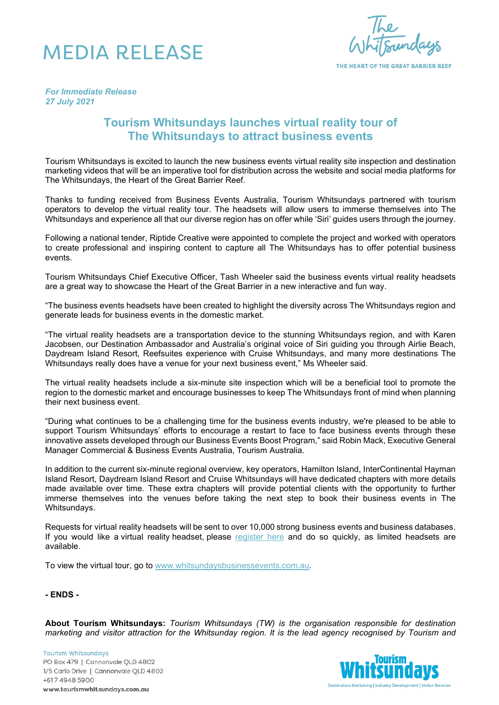## MEDIA RELEASE

THE HEART OF THE GREAT BARRIER REEF

*For Immediate Release 27 July 2021*

## **Tourism Whitsundays launches virtual reality tour of The Whitsundays to attract business events**

Tourism Whitsundays is excited to launch the new business events virtual reality site inspection and destination marketing videos that will be an imperative tool for distribution across the website and social media platforms for The Whitsundays, the Heart of the Great Barrier Reef.

Thanks to funding received from Business Events Australia, Tourism Whitsundays partnered with tourism operators to develop the virtual reality tour. The headsets will allow users to immerse themselves into The Whitsundays and experience all that our diverse region has on offer while 'Siri' guides users through the journey.

Following a national tender, Riptide Creative were appointed to complete the project and worked with operators to create professional and inspiring content to capture all The Whitsundays has to offer potential business events.

Tourism Whitsundays Chief Executive Officer, Tash Wheeler said the business events virtual reality headsets are a great way to showcase the Heart of the Great Barrier in a new interactive and fun way.

"The business events headsets have been created to highlight the diversity across The Whitsundays region and generate leads for business events in the domestic market.

"The virtual reality headsets are a transportation device to the stunning Whitsundays region, and with Karen Jacobsen, our Destination Ambassador and Australia's original voice of Siri guiding you through Airlie Beach, Daydream Island Resort, Reefsuites experience with Cruise Whitsundays, and many more destinations The Whitsundays really does have a venue for your next business event," Ms Wheeler said.

The virtual reality headsets include a six-minute site inspection which will be a beneficial tool to promote the region to the domestic market and encourage businesses to keep The Whitsundays front of mind when planning their next business event.

"During what continues to be a challenging time for the business events industry, we're pleased to be able to support Tourism Whitsundays' efforts to encourage a restart to face to face business events through these innovative assets developed through our Business Events Boost Program," said Robin Mack, Executive General Manager Commercial & Business Events Australia, Tourism Australia.

In addition to the current six-minute regional overview, key operators, Hamilton Island, InterContinental Hayman Island Resort, Daydream Island Resort and Cruise Whitsundays will have dedicated chapters with more details made available over time. These extra chapters will provide potential clients with the opportunity to further immerse themselves into the venues before taking the next step to book their business events in The Whitsundays.

Requests for virtual reality headsets will be sent to over 10,000 strong business events and business databases. If you would like a virtual reality headset, please [register here](https://forms.office.com/Pages/ResponsePage.aspx?id=AHjslVl8tkqZlVq3rSrYifqTOxoKcdZKu4cjrqHELaBUOVlMOEs5SEsxMjEzVUIzUkI1VFBCTk1NOC4u) and do so quickly, as limited headsets are available.

To view the virtual tour, go to [www.whitsundaysbusinessevents.com.au.](http://www.whitsundaysbusinessevents.com.au/)

**- ENDS -**

**About Tourism Whitsundays:** *Tourism Whitsundays (TW) is the organisation responsible for destination marketing and visitor attraction for the Whitsunday region. It is the lead agency recognised by Tourism and* 

**Tourism Whitsundays** PO Box 479 | Cannonvale QLD 4802 1/5 Carlo Drive | Cannonvale QLD 4802 +617 4948 5900 www.tourismwhitsundays.com.au